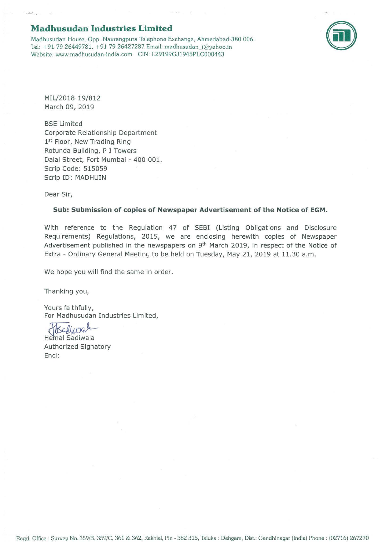## **Madhusudan Industries Limited**

Madhusudan House. Opp. Navrangpura Telephone Exchange, Ahrnedabad-380 006. Tel: +91 79 26449781, +91 79 26427287 Email: madhusudan i@yahoo.in Website: www.madhusudan-india.com CIN: L29199GJ1945PLC000443



MIL/2018-19/812 March 09, 2019

BSE Limited Corporate Relationship Department 1st Floor, New Trading Ring Rotunda Building, P J Towers Dalal Street, Fort Mumbai - 400 001. Scrip Code: 515059 Scrip ID: MADHUIN

Dear Sir,

## **Sub: Submission of copies of Newspaper Advertisement of the Notice of EGM.**

With reference to the Regulation 47 of SEBI (Listing Obligations and Disclosure Requirements) Regulations, 2015, we are enclosing herewith copies of Newspaper Advertisement published in the newspapers on 9<sup>th</sup> March 2019, in respect of the Notice of Extra - Ordinary General Meeting to be held on Tuesday, May 21, 2019 at 11.30 a.m.

We hope you will find the same in order.

Thanking you,

Yours faithfully, For Madhusudan Industries Limited,

Authorized Signatory<br>Hemal Sadiwala<br>Authorized Signatory Encl: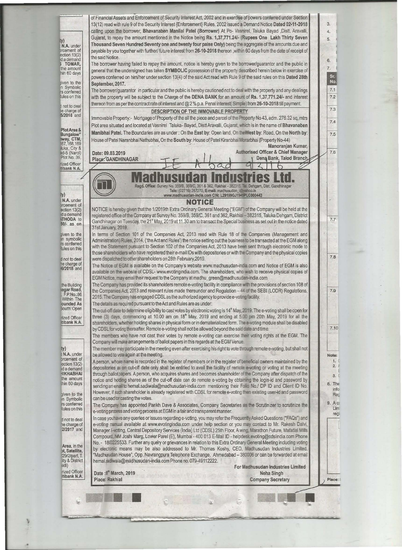